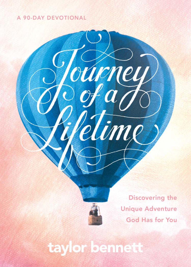### A 90-DAY DEVOTIONAL



ourney

dime

Discovering the **Unique Adventure** God Has for You

taylor bennett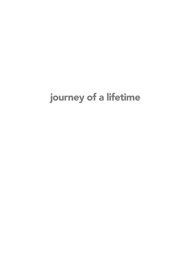# journey of a lifetime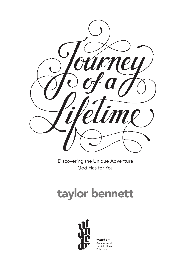

Discovering the Unique Adventure God Has for You

# taylor bennett



wander<sup>®</sup> An imprint of Tyndale House Publishers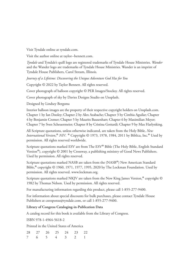Visit Tyndale online at tyndale.com.

Visit the author online at taylor--bennett.com.

*Tyndale* and Tyndale's quill logo are registered trademarks of Tyndale House Ministries. *Wander* and the Wander logo are trademarks of Tyndale House Ministries. Wander is an imprint of Tyndale House Publishers, Carol Stream, Illinois.

*Journey of a Lifetime: Discovering the Unique Adventure God Has for You*

Copyright © 2022 by Taylor Bennett. All rights reserved.

Cover photograph of balloon copyright © PER Images/Stocksy. All rights reserved.

Cover photograph of sky by Davies Designs Studio on Unsplash.

Designed by Lindsey Bergsma

Interior balloon images are the property of their respective copyright holders on Unsplash.com. Chapter 1 by Ian Dooley; Chapter 2 by Alex Azabache; Chapter 3 by Cinthia Aguilar; Chapter 4 by Benjamin Cremer; Chapter 5 by Maurits Bausenhart; Chapter 6 by Maximilian Meyer; Chapter 7 by Sven Scheuermeier; Chapter 8 by Cristina Gottardi; Chapter 9 by Max Harlynking.

All Scripture quotations, unless otherwise indicated, are taken from the Holy Bible, *New International Version*, ® *NIV*. ® Copyright © 1973, 1978, 1984, 2011 by Biblica, Inc.® Used by permission. All rights reserved worldwide.

Scripture quotations marked ESV are from The ESV® Bible (The Holy Bible, English Standard Version®), copyright © 2001 by Crossway, a publishing ministry of Good News Publishers. Used by permission. All rights reserved.

Scripture quotations marked NASB are taken from the (NASB®) New American Standard Bible,® copyright © 1960, 1971, 1977, 1995, 2020 by The Lockman Foundation. Used by permission. All rights reserved. www.lockman.org.

Scripture quotations marked NKJV are taken from the New King James Version,® copyright © 1982 by Thomas Nelson. Used by permission. All rights reserved.

For manufacturing information regarding this product, please call 1-855-277-9400.

For information about special discounts for bulk purchases, please contact Tyndale House Publishers at csresponse@tyndale.com, or call 1-855-277-9400.

#### **Library of Congress Cataloging-in-Publication Data**

A catalog record for this book is available from the Library of Congress.

ISBN 978-1-4964-5618-2

Printed in the United States of America

|  |  | 28 27 26 25 24 23 22 |  |
|--|--|----------------------|--|
|  |  | 7 6 5 4 3 2 1        |  |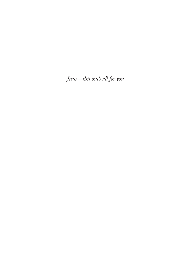Jesus-this one's all for you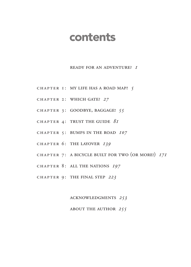## contents

#### Ready for an Adventure? *1*

- CHAPTER I: MY LIFE HAS A ROAD MAP? 5
- CHAPTER 2: WHICH GATE? 27
- CHAPTER 3: GOODBYE, BAGGAGE! 55
- CHAPTER 4: TRUST THE GUIDE  $\delta I$
- CHAPTER 5: BUMPS IN THE ROAD 107
- CHAPTER 6: THE LAYOVER 139
- CHAPTER 7: A BICYCLE BUILT FOR TWO (OR MORE!)  $17I$
- CHAPTER 8: ALL THE NATIONS 197
- CHAPTER 9: THE FINAL STEP 223

Acknowledgments *253*

#### About the Author *255*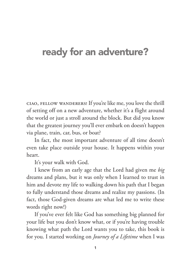## ready for an adventure?

Ciao, fellow wanderers! If you're like me, you love the thrill of setting off on a new adventure, whether it's a flight around the world or just a stroll around the block. But did you know that the greatest journey you'll ever embark on doesn't happen via plane, train, car, bus, or boat?

In fact, the most important adventure of all time doesn't even take place outside your house. It happens within your heart.

It's your walk with God.

I knew from an early age that the Lord had given me *big* dreams and plans, but it was only when I learned to trust in him and devote my life to walking down his path that I began to fully understand those dreams and realize my passions. (In fact, those God-given dreams are what led me to write these words right now!)

If you've ever felt like God has something big planned for your life but you don't know what, or if you're having trouble knowing what path the Lord wants you to take, this book is for you. I started working on *Journey of a Lifetime* when I was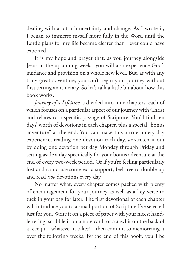dealing with a lot of uncertainty and change. As I wrote it, I began to immerse myself more fully in the Word until the Lord's plans for my life became clearer than I ever could have expected.

It is my hope and prayer that, as you journey alongside Jesus in the upcoming weeks, you will also experience God's guidance and provision on a whole new level. But, as with any truly great adventure, you can't begin your journey without first setting an itinerary. So let's talk a little bit about how this book works.

*Journey of a Lifetime* is divided into nine chapters, each of which focuses on a particular aspect of our journey with Christ and relates to a specific passage of Scripture. You'll find ten days' worth of devotions in each chapter, plus a special "bonus adventure" at the end. You can make this a true ninety-day experience, reading one devotion each day, *or* stretch it out by doing one devotion per day Monday through Friday and setting aside a day specifically for your bonus adventure at the end of every two-week period. Or if you're feeling particularly lost and could use some extra support, feel free to double up and read *two* devotions every day.

No matter what, every chapter comes packed with plenty of encouragement for your journey as well as a key verse to tuck in your bag for later. The first devotional of each chapter will introduce you to a small portion of Scripture I've selected just for you. Write it on a piece of paper with your nicest handlettering, scribble it on a note card, or scrawl it on the back of a receipt—whatever it takes!—then commit to memorizing it over the following weeks. By the end of this book, you'll be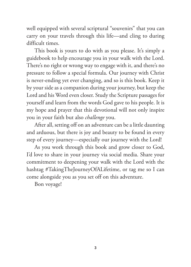well equipped with several scriptural "souvenirs" that you can carry on your travels through this life—and cling to during difficult times.

This book is yours to do with as you please. It's simply a guidebook to help encourage you in your walk with the Lord. There's no right or wrong way to engage with it, and there's no pressure to follow a special formula. Our journey with Christ is never-ending yet ever changing, and so is this book. Keep it by your side as a companion during your journey, but keep the Lord and his Word even closer. Study the Scripture passages for yourself and learn from the words God gave to his people. It is my hope and prayer that this devotional will not only inspire you in your faith but also *challenge* you.

After all, setting off on an adventure can be a little daunting and arduous, but there is joy and beauty to be found in every step of every journey—especially our journey with the Lord!

As you work through this book and grow closer to God, I'd love to share in your journey via social media. Share your commitment to deepening your walk with the Lord with the hashtag #TakingTheJourneyOfALifetime, or tag me so I can come alongside you as you set off on this adventure.

Bon voyage!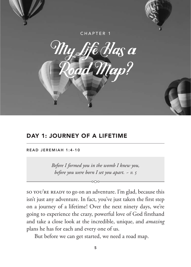

## DAY 1: JOURNEY OF A LIFETIME

READ JEREMIAH 1:4-10

*Before I formed you in the womb I knew you, before you were born I set you apart. ~ v. 5*

SO YOU'RE READY to go on an adventure. I'm glad, because this isn't just any adventure. In fact, you've just taken the first step on a journey of a lifetime! Over the next ninety days, we're going to experience the crazy, powerful love of God firsthand and take a close look at the incredible, unique, and *amazing* plans he has for each and every one of us.

But before we can get started, we need a road map.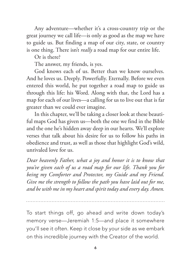Any adventure—whether it's a cross-country trip or the great journey we call life—is only as good as the map we have to guide us. But finding a map of our city, state, or country is one thing. There isn't *really* a road map for our entire life.

Or is there?

The answer, my friends, is yes.

God knows each of us. Better than we know ourselves. And he loves us. Deeply. Powerfully. Eternally. Before we even entered this world, he put together a road map to guide us through this life: his Word. Along with that, the Lord has a map for each of our lives—a calling for us to live out that is far greater than we could ever imagine.

In this chapter, we'll be taking a closer look at these beautiful maps God has given us—both the one we find in the Bible and the one he's hidden away deep in our hearts. We'll explore verses that talk about his desire for us to follow his paths in obedience and trust, as well as those that highlight God's wild, unrivaled love for us.

*Dear heavenly Father, what a joy and honor it is to know that you've given each of us a road map for our life. Thank you for being my Comforter and Protector, my Guide and my Friend. Give me the strength to follow the path you have laid out for me, and be with me in my heart and spirit today and every day. Amen.*

To start things off, go ahead and write down today's memory verse—Jeremiah 1:5—and place it somewhere you'll see it often. Keep it close by your side as we embark on this incredible journey with the Creator of the world.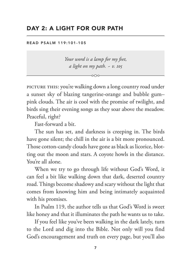## DAY 2: A LIGHT FOR OUR PATH

READ PSALM 119:101-105

*Your word is a lamp for my feet, a light on my path. ~ v. 105*

PICTURE THIS: you're walking down a long country road under a sunset sky of blazing tangerine-orange and bubble gum– pink clouds. The air is cool with the promise of twilight, and birds sing their evening songs as they soar above the meadow. Peaceful, right?

Fast-forward a bit.

The sun has set, and darkness is creeping in. The birds have gone silent; the chill in the air is a bit more pronounced. Those cotton-ca ndy clouds have gone as black as licorice, blotting out the moon and stars. A coyote howls in the distance. You're all alone.

When we try to go through life without God's Word, it can feel a bit like walking down that dark, deserted country road. Things become shadowy and scary without the light that comes from knowing him and being intimately acquainted with his promises.

In Psalm 119, the author tells us that God's Word is sweet like honey and that it illuminates the path he wants us to take.

If you feel like you've been walking in the dark lately, turn to the Lord and dig into the Bible. Not only will you find God's encouragement and truth on every page, but you'll also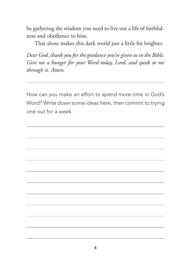be gathering the wisdom you need to live out a life of faithfulness and obedience to him.

That alone makes this dark world just a little bit brighter.

*Dear God, thank you for the guidance you've given us in the Bible. Give me a hunger for your Word today, Lord, and speak to me through it. Amen.*

How can you make an effort to spend more time in God's Word? Write down some ideas here, then commit to trying one out for a week.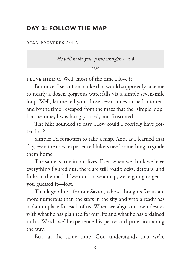### DAY 3: FOLLOW THE MAP

R F A D P R O V F R B S 3 . 1 - 8

*He will make your paths straight. ~ v. 6*

I love hiking. Well, most of the time I love it.

But once, I set off on a hike that would supposedly take me to nearly a dozen gorgeous waterfalls via a simple seven-mile loop. Well, let me tell you, those seven miles turned into ten, and by the time I escaped from the maze that the "simple loop" had become, I was hungry, tired, and frustrated.

The hike sounded so easy. How could I possibly have gotten lost?

Simple: I'd forgotten to take a map. And, as I learned that day, even the most experienced hikers need something to guide them home.

The same is true in our lives. Even when we think we have everything figured out, there are still roadblocks, detours, and forks in the road. If we don't have a map, we're going to get you guessed it—lost.

Thank goodness for our Savior, whose thoughts for us are more numerous than the stars in the sky and who already has a plan in place for each of us. When we align our own desires with what he has planned for our life and what he has ordained in his Word, we'll experience his peace and provision along the way.

But, at the same time, God understands that we're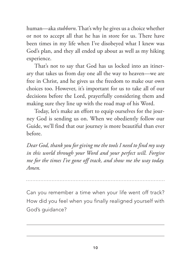human—aka *stubborn*. That's why he gives us a choice whether or not to accept all that he has in store for us. There have been times in my life when I've disobeyed what I knew was God's plan, and they all ended up about as well as my hiking experience.

That's not to say that God has us locked into an itinerary that takes us from day one all the way to heaven—we are free in Christ, and he gives us the freedom to make our own choices too. However, it's important for us to take all of our decisions before the Lord, prayerfully considering them and making sure they line up with the road map of his Word.

Today, let's make an effort to equip ourselves for the journey God is sending us on. When we obediently follow our Guide, we'll find that our journey is more beautiful than ever before.

*Dear God, thank you for giving me the tools I need to find my way in this world through your Word and your perfect will. Forgive me for the times I've gone off track, and show me the way today. Amen.*

Can you remember a time when your life went off track? How did you feel when you finally realigned yourself with God's guidance?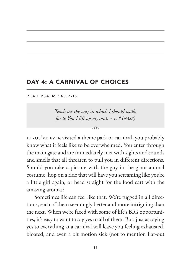## DAY 4: A CARNIVAL OF CHOICES

#### READ PSALM 143:7-12

*Teach me the way in which I should walk; for to You I lift up my soul. ~ v. 8 (nasb)*

 $\sim$ 

If you've ever visited a theme park or carnival, you probably know what it feels like to be overwhelmed. You enter through the main gate and are immediately met with sights and sounds and smells that all threaten to pull you in different directions. Should you take a picture with the guy in the giant animal costume, hop on a ride that will have you screaming like you're a little girl again, or head straight for the food cart with the amazing aromas?

Sometimes life can feel like that. We're tugged in all directions, each of them seemingly better and more intriguing than the next. When we're faced with some of life's BIG opportunities, it's easy to want to say yes to all of them. But, just as saying yes to everything at a carnival will leave you feeling exhausted, bloated, and even a bit motion sick (not to mention flat-out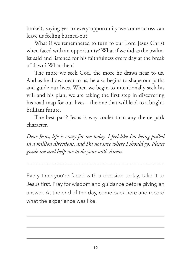broke!), saying yes to every opportunity we come across can leave us feeling burned-out.

What if we remembered to turn to our Lord Jesus Christ when faced with an opportunity? What if we did as the psalmist said and listened for his faithfulness every day at the break of dawn? What then?

The more we seek God, the more he draws near to us. And as he draws near to us, he also begins to shape our paths and guide our lives. When we begin to intentionally seek his will and his plan, we are taking the first step in discovering his road map for our lives—the one that will lead to a bright, brilliant future.

The best part? Jesus is way cooler than any theme park character.

*Dear Jesus, life is crazy for me today. I feel like I'm being pulled in a million directions, and I'm not sure where I should go. Please guide me and help me to do your will. Amen.*

Every time you're faced with a decision today, take it to Jesus first. Pray for wisdom and guidance before giving an answer. At the end of the day, come back here and record what the experience was like.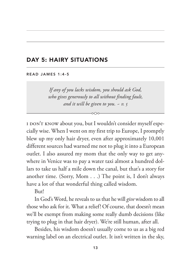## DAY 5: HAIRY SITUATIONS

#### READ JAMES 1:4-5

*If any of you lacks wisdom, you should ask God, who gives generously to all without finding fault, and it will be given to you. ~ v. 5*

I don't know about you, but I wouldn't consider myself especially wise. When I went on my first trip to Europe, I promptly blew up my only hair dryer, even after approximately 10,001 different sources had warned me not to plug it into a European outlet. I also assured my mom that the only way to get anywhere in Venice was to pay a water taxi almost a hundred dollars to take us half a mile down the canal, but that's a story for another time. (Sorry, Mom . . .) The point is, I don't always have a lot of that wonderful thing called wisdom.

But!

In God's Word, he reveals to us that he will *give* wisdom to all those who ask for it. What a relief! Of course, that doesn't mean we'll be exempt from making some really dumb decisions (like trying to plug in that hair dryer). We're still human, after all.

Besides, his wisdom doesn't usually come to us as a big red warning label on an electrical outlet. It isn't written in the sky,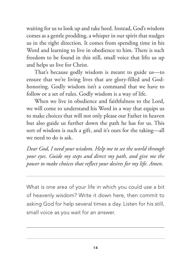waiting for us to look up and take heed. Instead, God's wisdom comes as a gentle prodding, a whisper in our spirit that nudges us in the right direction. It comes from spending time in his Word and learning to live in obedience to him. There is such freedom to be found in this still, small voice that lifts us up and helps us live for Christ.

That's because godly wisdom is meant to guide us—to ensure that we're living lives that are glory-filled and Godhonoring. Godly wisdom isn't a command that we have to follow or a set of rules. Godly wisdom is a way of life.

When we live in obedience and faithfulness to the Lord, we will come to understand his Word in a way that equips us to make choices that will not only please our Father in heaven but also guide us further down the path he has for us. This sort of wisdom is such a gift, and it's ours for the taking—all we need to do is ask.

*Dear God, I need your wisdom. Help me to see the world through your eyes. Guide my steps and direct my path, and give me the power to make choices that reflect your desires for my life. Amen.*

What is one area of your life in which you could use a bit of heavenly wisdom? Write it down here, then commit to asking God for help several times a day. Listen for his still, small voice as you wait for an answer.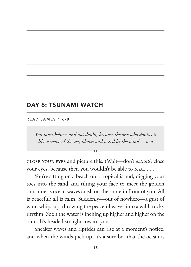## DAY 6: TSUNAMI WATCH

#### READ JAMES 1:6-8

*You must believe and not doubt, because the one who doubts is like a wave of the sea, blown and tossed by the wind. ~ v. 6*

Close your eyes and picture this. (Wait—don't *actually* close your eyes, because then you wouldn't be able to read. . . .)

 $\sim$ 

You're sitting on a beach on a tropical island, digging your toes into the sand and tilting your face to meet the golden sunshine as ocean waves crash on the shore in front of you. All is peaceful; all is calm. Suddenly—out of nowhere—a gust of wind whips up, throwing the peaceful waves into a wild, rocky rhythm. Soon the water is inching up higher and higher on the sand. It's headed straight toward you.

Sneaker waves and riptides can rise at a moment's notice, and when the winds pick up, it's a sure bet that the ocean is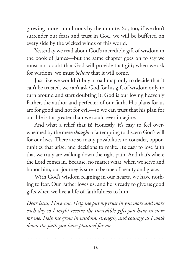growing more tumultuous by the minute. So, too, if we don't surrender our fears and trust in God, we will be buffeted on every side by the wicked winds of this world.

Yesterday we read about God's incredible gift of wisdom in the book of James—but the same chapter goes on to say we must not doubt that God will provide that gift; when we ask for wisdom, we must *believe* that it will come.

Just like we wouldn't buy a road map only to decide that it can't be trusted, we can't ask God for his gift of wisdom only to turn around and start doubting it. God is our loving heavenly Father, the author and perfecter of our faith. His plans for us are for good and not for evil—so we can trust that his plan for our life is far greater than we could ever imagine.

And what a relief that is! Honestly, it's easy to feel overwhelmed by the mere *thought* of attempting to discern God's will for our lives. There are so many possibilities to consider, opportunities that arise, and decisions to make. It's easy to lose faith that we truly are walking down the right path. And that's where the Lord comes in. Because, no matter what, when we serve and honor him, our journey is sure to be one of beauty and grace.

With God's wisdom reigning in our hearts, we have nothing to fear. Our Father loves us, and he is ready to give us good gifts when we live a life of faithfulness to him.

*Dear Jesus, I love you. Help me put my trust in you more and more*  each day so I might receive the incredible gifts you have in store *for me. Help me grow in wisdom, strength, and courage as I walk down the path you have planned for me.*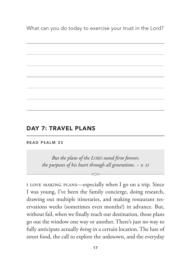What can you do today to exercise your trust in the Lord?

#### DAY 7: TRAVEL PLANS

#### READ PSALM 33

*But the plans of the Lord stand firm forever, the purposes of his heart through all generations. ~ v. 11*

I love making plans—especially when I go on a trip. Since I was young, I've been the family concierge, doing research, drawing out multiple itineraries, and making restaurant reservations weeks (sometimes even months!) in advance. But, without fail, when we finally reach our destination, those plans go out the window one way or another. There's just no way to fully anticipate actually *being* in a certain location. The lure of street food, the call to explore the unknown, and the everyday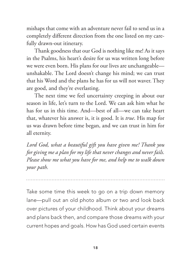mishaps that come with an adventure never fail to send us in a completely different direction from the one listed on my carefully drawn-out itinerary.

Thank goodness that our God is nothing like me! As it says in the Psalms, his heart's desire for us was written long before we were even born. His plans for our lives are unchangeable unshakable. The Lord doesn't change his mind; we can trust that his Word and the plans he has for us will not waver. They are good, and they're everlasting.

The next time we feel uncertainty creeping in about our season in life, let's turn to the Lord. We can ask him what he has for us in this time. And—best of all—we can take heart that, whatever his answer is, it is good. It is *true*. His map for us was drawn before time began, and we can trust in him for all eternity.

*Lord God, what a beautiful gift you have given me! Thank you for giving me a plan for my life that never changes and never fails. Please show me what you have for me, and help me to walk down your path.*

Take some time this week to go on a trip down memory lane—pull out an old photo album or two and look back over pictures of your childhood. Think about your dreams and plans back then, and compare those dreams with your current hopes and goals. How has God used certain events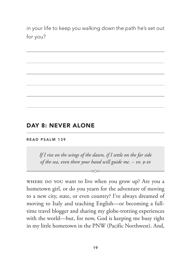in your life to keep you walking down the path he's set out for you?

## DAY 8: NEVER ALONE

#### READ PSALM 139

*If I rise on the wings of the dawn, if I settle on the far side of the sea, even there your hand will guide me. ~ vv. 9-10*

 $-0.00-$ 

Where do you want to live when you grow up? Are you a hometown girl, or do you yearn for the adventure of moving to a new city, state, or even country? I've always dreamed of moving to Italy and teaching English—or becoming a fulltime travel blogger and sharing my globe-trotting experiences with the world—but, for now, God is keeping me busy right in my little hometown in the PNW (Pacific Northwest). And,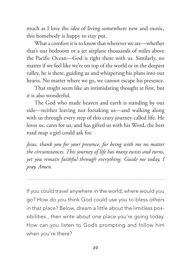much as I love the *idea* of living somewhere new and exotic, this homebody is happy to stay put.

What a comfort it is to know that wherever we are—whether that's our bedroom or a jet airplane thousands of miles above the Pacific Ocean—God is right there with us. Similarly, no matter if we feel like we're on top of the world or in the deepest valley, he is there, guiding us and whispering his plans into our hearts. No matter where we go, we cannot escape his presence.

That might seem like an intimidating thought at first, but it is also wonderful.

The God who made heaven and earth is standing by our side—neither leaving nor forsaking us—and walking along with us through every step of this crazy journey called life. He loves us, cares for us, and has gifted us with his Word, the best road map a girl could ask for.

*Jesus, thank you for your presence, for being with me no matter the circumstances. This journey of life has many twists and turns, yet you remain faithful through everything. Guide me today, I pray. Amen.*

If you could travel anywhere in the world, where would you go? How do you think God could use you to bless others in that place? Below, dream a little about the limitless possibilities , then write about one place you're going today. How can you listen to God's prompting and follow him when you're there?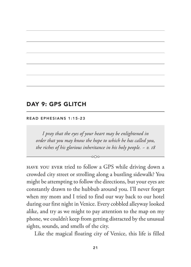## DAY 9: GPS GLITCH

#### READ EPHESIANS 1:15-23

*I pray that the eyes of your heart may be enlightened in order that you may know the hope to which he has called you, the riches of his glorious inheritance in his holy people. ~ v. 18*

 $000-$ 

Have you ever tried to follow a GPS while driving down a crowded city street or strolling along a bustling sidewalk? You might be attempting to follow the directions, but your eyes are constantly drawn to the hubbub around you. I'll never forget when my mom and I tried to find our way back to our hotel during our first night in Venice. Every cobbled alleyway looked alike, and try as we might to pay attention to the map on my phone, we couldn't keep from getting distracted by the unusual sights, sounds, and smells of the city.

Like the magical floating city of Venice, this life is filled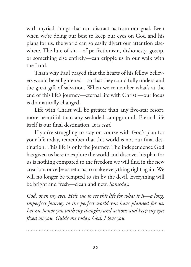with myriad things that can distract us from our goal. Even when we're doing our best to keep our eyes on God and his plans for us, the world can so easily divert our attention elsewhere. The lure of sin—of perfectionism, dishonesty, gossip, or something else entirely—can cripple us in our walk with the Lord.

That's why Paul prayed that the hearts of his fellow believers would be enlightened—so that they could fully understand the great gift of salvation. When we remember what's at the end of this life's journey—eternal life with Christ!—our focus is dramatically changed.

Life with Christ will be greater than any five-star resort, more beautiful than any secluded campground. Eternal life itself is our final destination. It is *real*.

If you're struggling to stay on course with God's plan for your life today, remember that this world is not our final destination. This life is only the journey. The independence God has given us here to explore the world and discover his plan for us is nothing compared to the freedom we will find in the new creation, once Jesus returns to make everything right again. We will no longer be tempted to sin by the devil. Everything will be bright and fresh—clean and new. *Someday.*

*God, open my eyes. Help me to see this life for what it is—a long, imperfect journey to the perfect world you have planned for us. Let me honor you with my thoughts and actions and keep my eyes fixed on you. Guide me today, God. I love you.*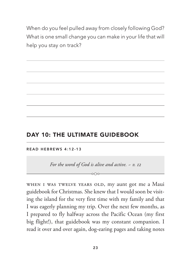When do you feel pulled away from closely following God? What is one small change you can make in your life that will help you stay on track?

### DAY 10: THE ULTIMATE GUIDEBOOK

READ HEBREWS 4:12-13

*For the word of God is alive and active. ~ v. 12*  $-0$ 

WHEN I WAS TWELVE YEARS OLD, my aunt got me a Maui guidebook for Christmas. She knew that I would soon be visiting the island for the very first time with my family and that I was eagerly planning my trip. Over the next few months, as I prepared to fly halfway across the Pacific Ocean (my first big flight!), that guidebook was my constant companion. I read it over and over again, dog-earing pages and taking notes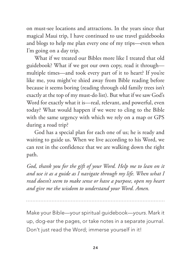on must-see locations and attractions. In the years since that magical Maui trip, I have continued to use travel guidebooks and blogs to help me plan every one of my trips—even when I'm going on a day trip.

What if we treated our Bibles more like I treated that old guidebook? What if we got our own copy, read it through multiple times—and took every part of it to heart? If you're like me, you might've shied away from Bible reading before because it seems boring (reading through old family trees isn't exactly at the top of my must-do list). But what if we saw God's Word for exactly what it is—real, relevant, and powerful, even today? What would happen if we were to cling to the Bible with the same urgency with which we rely on a map or GPS during a road trip?

God has a special plan for each one of us; he is ready and waiting to guide us. When we live according to his Word, we can rest in the confidence that we are walking down the right path.

*God, thank you for the gift of your Word. Help me to lean on it and use it as a guide as I navigate through my life. When what I read doesn't seem to make sense or have a purpose, open my heart and give me the wisdom to understand your Word. Amen.*

Make your Bible—your spiritual guidebook—*yours*. Mark it up, dog-ear the pages, or take notes in a separate journal. Don't just read the Word; immerse yourself in it!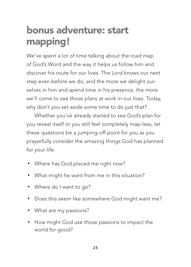## bonus adventure: start mapping!

We've spent a lot of time talking about the road map of God's Word and the way it helps us follow him and discover his route for our lives. The Lord knows our next step even before we do, and the more we delight ourselves in him and spend time in his presence, the more we'll come to see those plans at work in our lives. Today, why don't you set aside some time to do just that?

Whether you've already started to see God's plan for you reveal itself or you still feel completely map-less, let these questions be a jumping-off point for you as you prayerfully consider the amazing things God has planned for your life.

- Where has God placed me right now?
- What might he want from me in this situation?
- Where do I want to go?
- Does this seem like somewhere God might want me?
- What are my passions?
- How might God use those passions to impact the world for good?